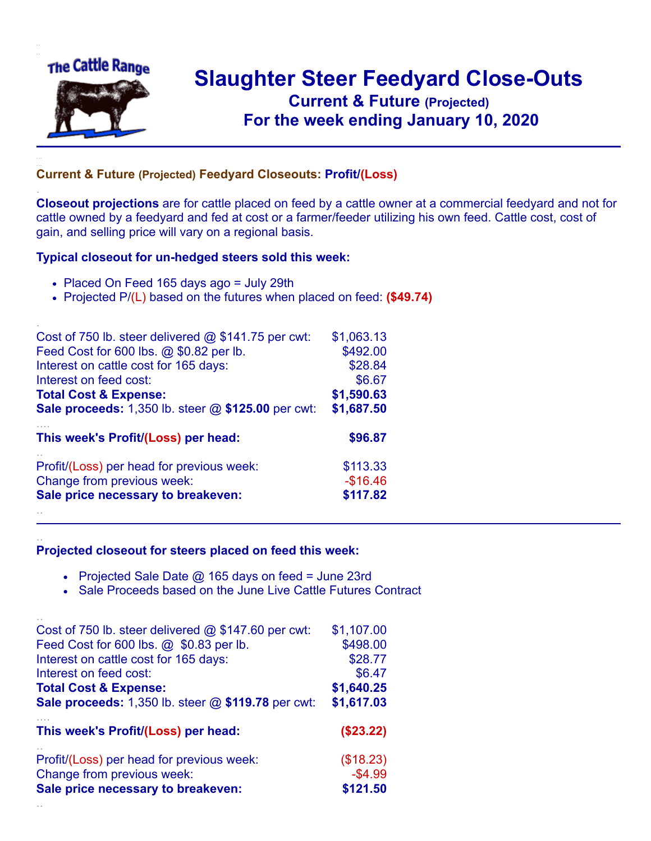

.

..

## **Slaughter Steer Feedyard Close-Outs Current & Future (Projected)** .**For the week ending January 10, 2020**

## **Current & Future (Projected) Feedyard Closeouts: Profit/(Loss)**

**Closeout projections** are for cattle placed on feed by a cattle owner at a commercial feedyard and not for cattle owned by a feedyard and fed at cost or a farmer/feeder utilizing his own feed. Cattle cost, cost of gain, and selling price will vary on a regional basis.

## **Typical closeout for un-hedged steers sold this week:**

- Placed On Feed 165 days ago = July 29th
- Projected P/(L) based on the futures when placed on feed: **(\$49.74)**

| Cost of 750 lb. steer delivered $@$ \$141.75 per cwt:     | \$1,063.13 |
|-----------------------------------------------------------|------------|
| Feed Cost for 600 lbs. @ \$0.82 per lb.                   | \$492.00   |
| Interest on cattle cost for 165 days:                     | \$28.84    |
| Interest on feed cost:                                    | \$6.67     |
| <b>Total Cost &amp; Expense:</b>                          | \$1,590.63 |
| <b>Sale proceeds:</b> 1,350 lb. steer @ \$125.00 per cwt: | \$1,687.50 |
| This week's Profit/(Loss) per head:                       | \$96.87    |
| Profit/(Loss) per head for previous week:                 | \$113.33   |
| Change from previous week:                                | $-$16.46$  |
| Sale price necessary to breakeven:                        | \$117.82   |
|                                                           |            |

## **Projected closeout for steers placed on feed this week:**

- Projected Sale Date  $@$  165 days on feed = June 23rd
- Sale Proceeds based on the June Live Cattle Futures Contract

| Cost of 750 lb. steer delivered $@$ \$147.60 per cwt:     | \$1,107.00 |
|-----------------------------------------------------------|------------|
| Feed Cost for 600 lbs. @ \$0.83 per lb.                   | \$498.00   |
| Interest on cattle cost for 165 days:                     | \$28.77    |
| Interest on feed cost:                                    | \$6.47     |
| <b>Total Cost &amp; Expense:</b>                          | \$1,640.25 |
| <b>Sale proceeds:</b> 1,350 lb. steer @ \$119.78 per cwt: | \$1,617.03 |
| This week's Profit/(Loss) per head:                       | (\$23.22)  |
| Profit/(Loss) per head for previous week:                 | (\$18.23)  |
| Change from previous week:                                | $-$4.99$   |
| Sale price necessary to breakeven:                        | \$121.50   |
|                                                           |            |